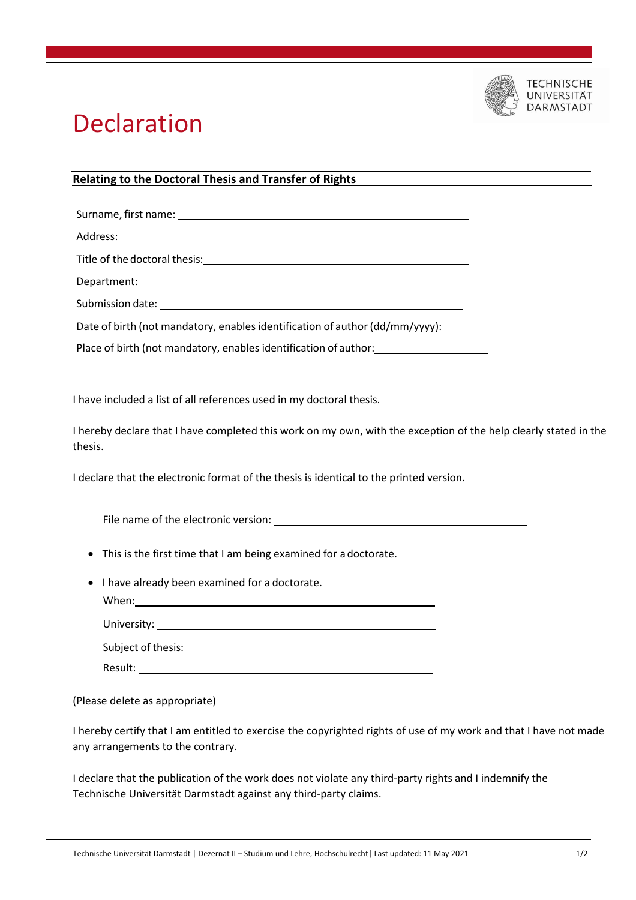

## Declaration

## **Relating to the Doctoral Thesis and Transfer of Rights**

Surname, first name: Address: Title of the doctoral thesis: Department: Submission date: Date of birth (not mandatory, enables identification of author (dd/mm/yyyy): \_\_\_\_\_\_\_\_

Place of birth (not mandatory, enables identification of author:

I have included a list of all references used in my doctoral thesis.

I hereby declare that I have completed this work on my own, with the exception of the help clearly stated in the thesis.

I declare that the electronic format of the thesis is identical to the printed version.

File name of the electronic version:

This is the first time that I am being examined for a doctorate.

| • I have already been examined for a doctorate. |
|-------------------------------------------------|
| When:                                           |
| University: University:                         |
| Subject of thesis:                              |
| Result:                                         |

(Please delete as appropriate)

I hereby certify that I am entitled to exercise the copyrighted rights of use of my work and that I have not made any arrangements to the contrary.

I declare that the publication of the work does not violate any third-party rights and I indemnify the Technische Universität Darmstadt against any third-party claims.